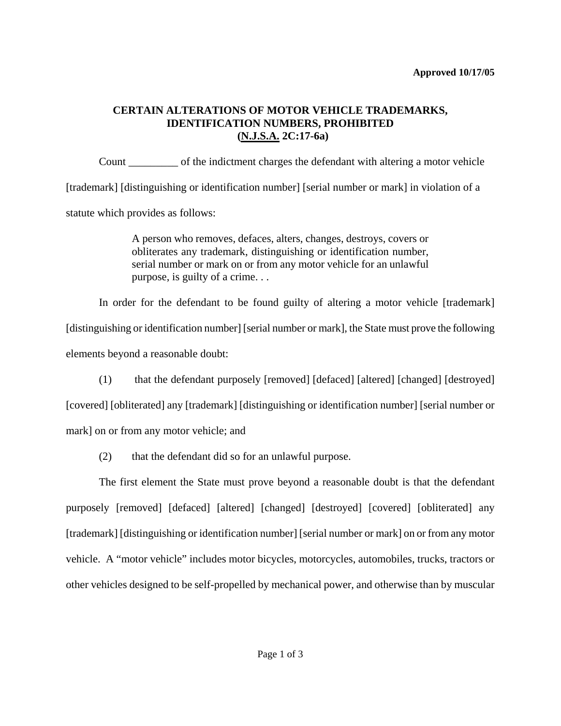## **CERTAIN ALTERATIONS OF MOTOR VEHICLE TRADEMARKS, IDENTIFICATION NUMBERS, PROHIBITED (N.J.S.A. 2C:17-6a)**

Count \_\_\_\_\_\_\_\_\_ of the indictment charges the defendant with altering a motor vehicle [trademark] [distinguishing or identification number] [serial number or mark] in violation of a statute which provides as follows:

> A person who removes, defaces, alters, changes, destroys, covers or obliterates any trademark, distinguishing or identification number, serial number or mark on or from any motor vehicle for an unlawful purpose, is guilty of a crime. . .

In order for the defendant to be found guilty of altering a motor vehicle [trademark] [distinguishing or identification number] [serial number or mark], the State must prove the following elements beyond a reasonable doubt:

(1) that the defendant purposely [removed] [defaced] [altered] [changed] [destroyed]

[covered] [obliterated] any [trademark] [distinguishing or identification number] [serial number or mark] on or from any motor vehicle; and

(2) that the defendant did so for an unlawful purpose.

<span id="page-0-0"></span>The first element the State must prove beyond a reasonable doubt is that the defendant purposely [removed] [defaced] [altered] [changed] [destroyed] [covered] [obliterated] any [trademark] [distinguishing or identification number] [serial number or mark] on or from any motor vehicle. A "motor vehicle" includes motor bicycles, motorcycles, automobiles, trucks, tractors or other vehicles designed to be self-propelled by mechanical power, and otherwise than by muscular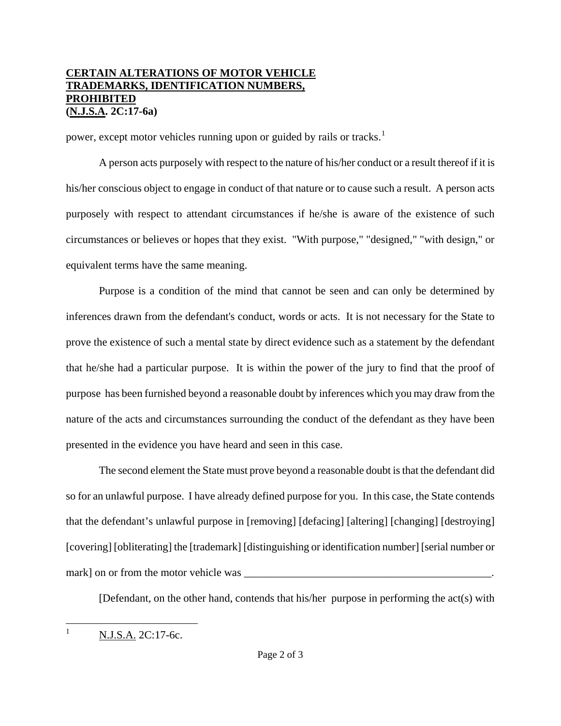## **CERTAIN ALTERATIONS OF MOTOR VEHICLE TRADEMARKS, IDENTIFICATION NUMBERS, PROHIBITED (N.J.S.A. 2C:17-6a)**

power, except motor vehicles running upon or guided by rails or tracks.<sup>[1](#page-0-0)</sup>

A person acts purposely with respect to the nature of his/her conduct or a result thereof if it is his/her conscious object to engage in conduct of that nature or to cause such a result. A person acts purposely with respect to attendant circumstances if he/she is aware of the existence of such circumstances or believes or hopes that they exist. "With purpose," "designed," "with design," or equivalent terms have the same meaning.

Purpose is a condition of the mind that cannot be seen and can only be determined by inferences drawn from the defendant's conduct, words or acts. It is not necessary for the State to prove the existence of such a mental state by direct evidence such as a statement by the defendant that he/she had a particular purpose. It is within the power of the jury to find that the proof of purpose has been furnished beyond a reasonable doubt by inferences which you may draw from the nature of the acts and circumstances surrounding the conduct of the defendant as they have been presented in the evidence you have heard and seen in this case.

The second element the State must prove beyond a reasonable doubt is that the defendant did so for an unlawful purpose. I have already defined purpose for you. In this case, the State contends that the defendant's unlawful purpose in [removing] [defacing] [altering] [changing] [destroying] [covering] [obliterating] the [trademark] [distinguishing or identification number] [serial number or mark] on or from the motor vehicle was \_\_\_\_\_\_\_\_\_\_\_\_\_\_\_\_\_\_\_\_\_\_\_\_\_\_\_\_\_\_\_\_\_\_\_\_\_\_\_\_\_\_\_\_\_.

[Defendant, on the other hand, contends that his/her purpose in performing the act(s) with

 $\frac{1}{1}$ N.J.S.A. 2C:17-6c.